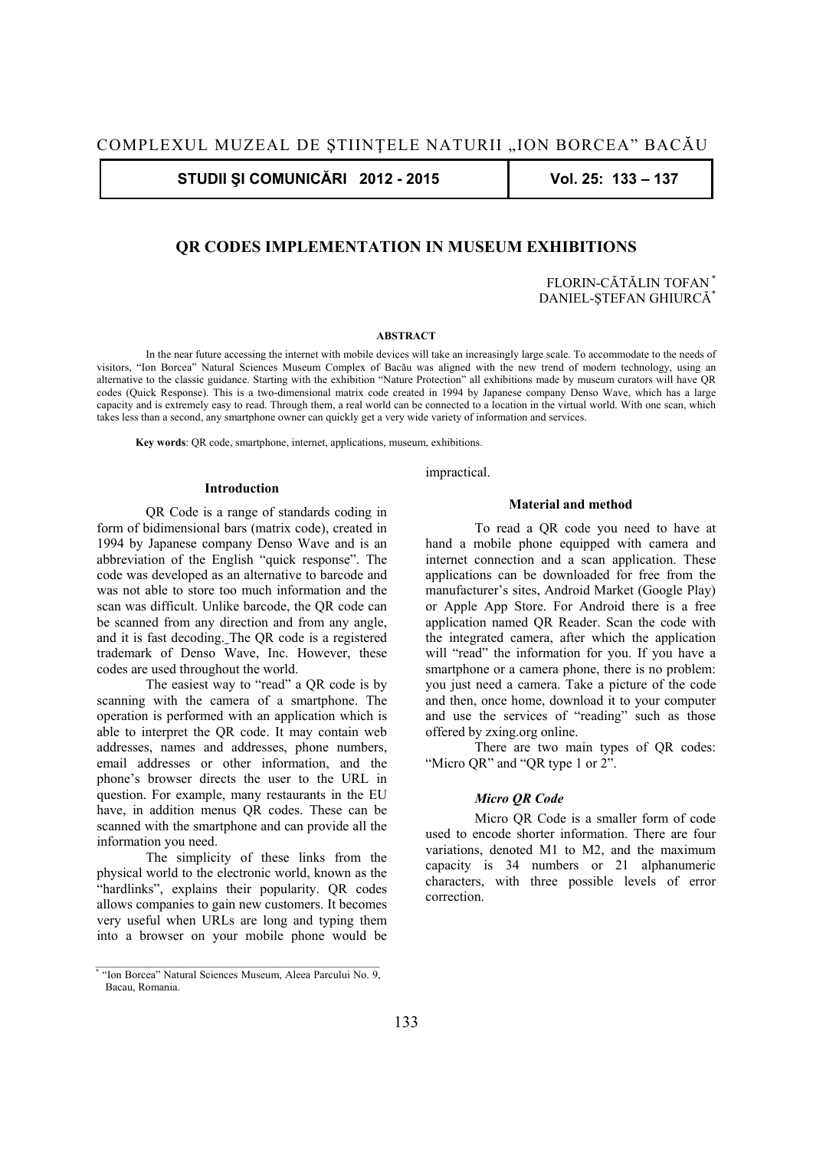**STUDII ŞI COMUNICĂRI 2012 - 2015 Vol. 25: 133 – 137** 

# **QR CODES IMPLEMENTATION IN MUSEUM EXHIBITIONS**

FLORIN-CĂTĂLIN TOFAN \* DANIEL-STEFAN GHIURCĂ<sup>\*</sup>

### **ABSTRACT**

In the near future accessing the internet with mobile devices will take an increasingly large scale. To accommodate to the needs of visitors, "Ion Borcea" Natural Sciences Museum Complex of Bacău was aligned with the new trend of modern technology, using an alternative to the classic guidance. Starting with the exhibition "Nature Protection" all exhibitions made by museum curators will have QR codes (Quick Response). This is a two-dimensional matrix code created in 1994 by Japanese company Denso Wave, which has a large capacity and is extremely easy to read. Through them, a real world can be connected to a location in the virtual world. With one scan, which takes less than a second, any smartphone owner can quickly get a very wide variety of information and services.

**Key words**: QR code, smartphone, internet, applications, museum, exhibitions.

#### **Introduction**

QR Code is a range of standards coding in form of bidimensional bars (matrix code), created in 1994 by Japanese company Denso Wave and is an abbreviation of the English "quick response". The code was developed as an alternative to barcode and was not able to store too much information and the scan was difficult. Unlike barcode, the QR code can be scanned from any direction and from any angle, and it is fast decoding. The QR code is a registered trademark of Denso Wave, Inc. However, these codes are used throughout the world.

The easiest way to "read" a QR code is by scanning with the camera of a smartphone. The operation is performed with an application which is able to interpret the QR code. It may contain web addresses, names and addresses, phone numbers, email addresses or other information, and the phone's browser directs the user to the URL in question. For example, many restaurants in the EU have, in addition menus QR codes. These can be scanned with the smartphone and can provide all the information you need.

The simplicity of these links from the physical world to the electronic world, known as the "hardlinks", explains their popularity. QR codes allows companies to gain new customers. It becomes very useful when URLs are long and typing them into a browser on your mobile phone would be impractical.

### **Material and method**

To read a QR code you need to have at hand a mobile phone equipped with camera and internet connection and a scan application. These applications can be downloaded for free from the manufacturer's sites, Android Market (Google Play) or Apple App Store. For Android there is a free application named QR Reader. Scan the code with the integrated camera, after which the application will "read" the information for you. If you have a smartphone or a camera phone, there is no problem: you just need a camera. Take a picture of the code and then, once home, download it to your computer and use the services of "reading" such as those offered by zxing.org online.

There are two main types of QR codes: "Micro QR" and "QR type 1 or 2".

## *Micro QR Code*

Micro QR Code is a smaller form of code used to encode shorter information. There are four variations, denoted M1 to M2, and the maximum capacity is 34 numbers or 21 alphanumeric characters, with three possible levels of error correction.

<sup>\*</sup> "Ion Borcea" Natural Sciences Museum, Aleea Parcului No. 9, Bacau, Romania.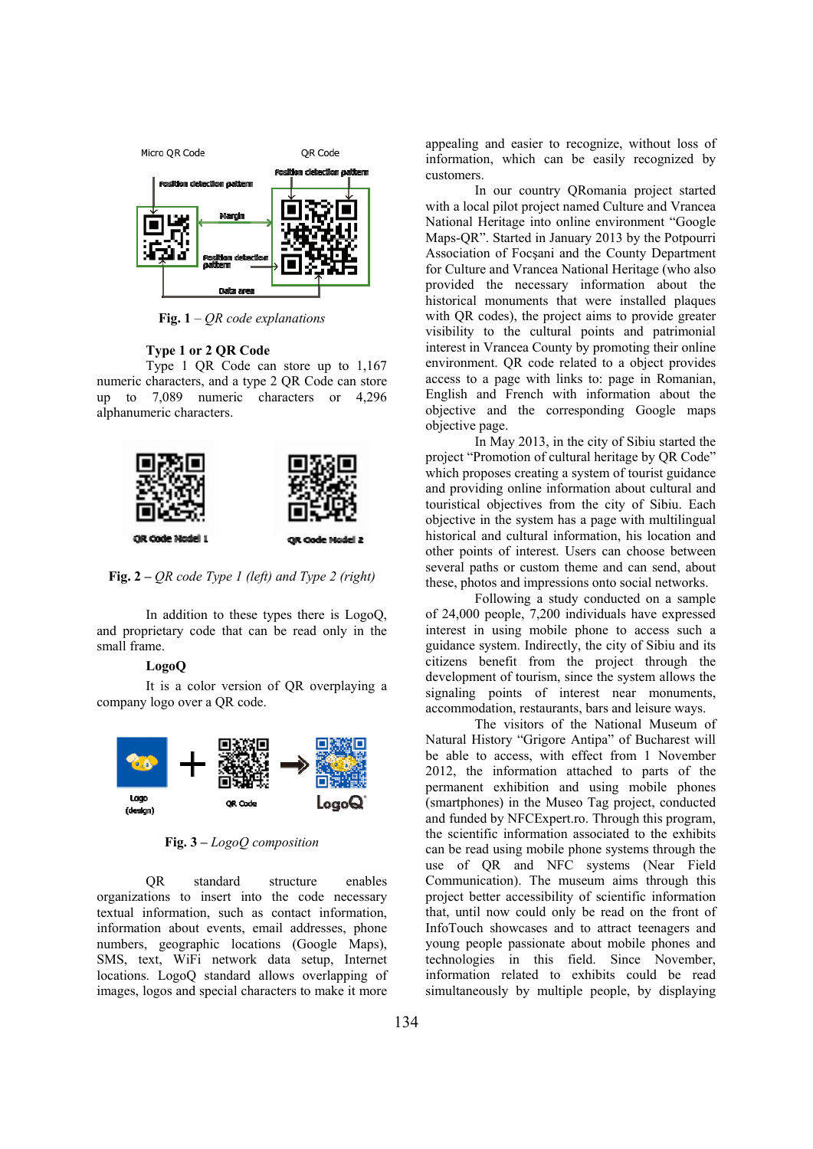

**Fig. 1** – *QR code explanations* 

## **Type 1 or 2 QR Code**

Type 1 QR Code can store up to 1,167 numeric characters, and a type 2 QR Code can store up to 7,089 numeric characters or 4,296 alphanumeric characters.



**Fig. 2** *– QR code Type 1 (left) and Type 2 (right)* 

In addition to these types there is LogoQ, and proprietary code that can be read only in the small frame.

## **LogoQ**

It is a color version of QR overplaying a company logo over a QR code.



**Fig. 3** *– LogoQ composition* 

QR standard structure enables organizations to insert into the code necessary textual information, such as contact information, information about events, email addresses, phone numbers, geographic locations (Google Maps), SMS, text, WiFi network data setup, Internet locations. LogoQ standard allows overlapping of images, logos and special characters to make it more

appealing and easier to recognize, without loss of information, which can be easily recognized by customers.

In our country QRomania project started with a local pilot project named Culture and Vrancea National Heritage into online environment "Google Maps-QR". Started in January 2013 by the Potpourri Association of Focşani and the County Department for Culture and Vrancea National Heritage (who also provided the necessary information about the historical monuments that were installed plaques with QR codes), the project aims to provide greater visibility to the cultural points and patrimonial interest in Vrancea County by promoting their online environment. QR code related to a object provides access to a page with links to: page in Romanian, English and French with information about the objective and the corresponding Google maps objective page.

In May 2013, in the city of Sibiu started the project "Promotion of cultural heritage by QR Code" which proposes creating a system of tourist guidance and providing online information about cultural and touristical objectives from the city of Sibiu. Each objective in the system has a page with multilingual historical and cultural information, his location and other points of interest. Users can choose between several paths or custom theme and can send, about these, photos and impressions onto social networks.

Following a study conducted on a sample of 24,000 people, 7,200 individuals have expressed interest in using mobile phone to access such a guidance system. Indirectly, the city of Sibiu and its citizens benefit from the project through the development of tourism, since the system allows the signaling points of interest near monuments, accommodation, restaurants, bars and leisure ways.

The visitors of the National Museum of Natural History "Grigore Antipa" of Bucharest will be able to access, with effect from 1 November 2012, the information attached to parts of the permanent exhibition and using mobile phones (smartphones) in the Museo Tag project, conducted and funded by NFCExpert.ro. Through this program, the scientific information associated to the exhibits can be read using mobile phone systems through the use of QR and NFC systems (Near Field Communication). The museum aims through this project better accessibility of scientific information that, until now could only be read on the front of InfoTouch showcases and to attract teenagers and young people passionate about mobile phones and technologies in this field. Since November, information related to exhibits could be read simultaneously by multiple people, by displaying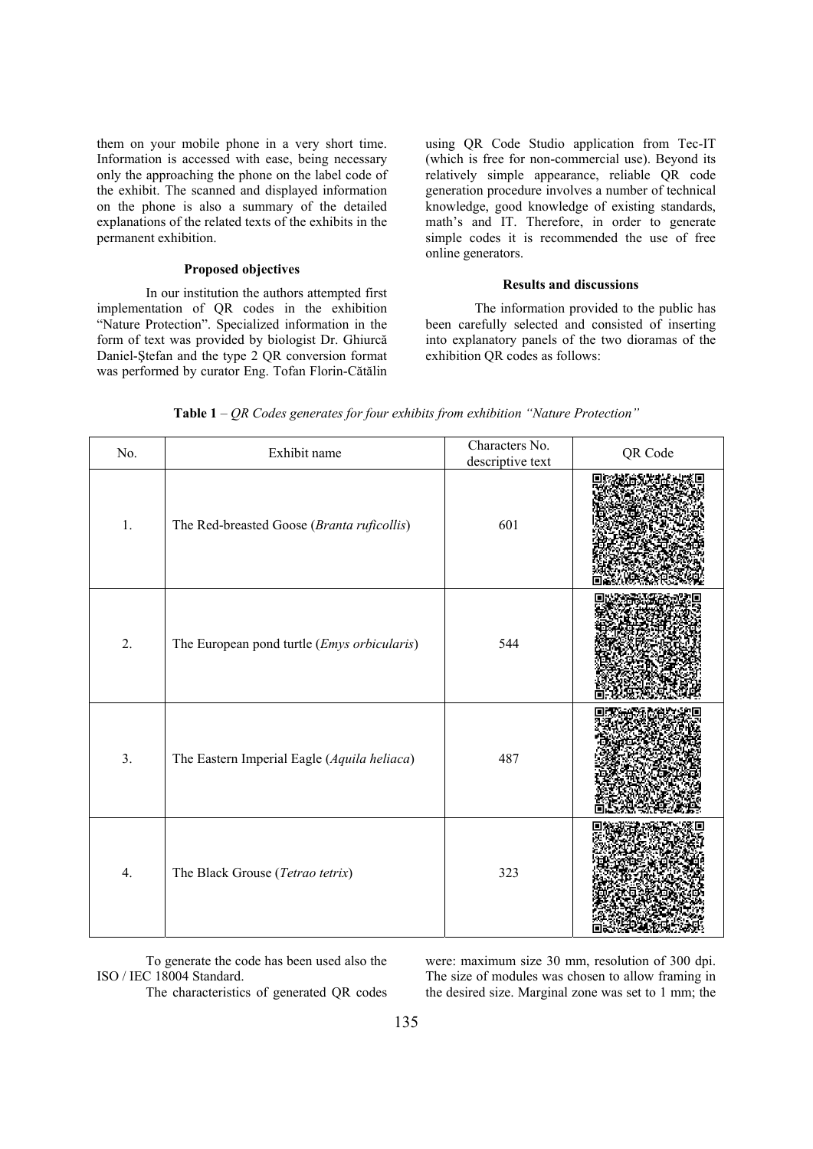them on your mobile phone in a very short time. Information is accessed with ease, being necessary only the approaching the phone on the label code of the exhibit. The scanned and displayed information on the phone is also a summary of the detailed explanations of the related texts of the exhibits in the permanent exhibition.

## **Proposed objectives**

In our institution the authors attempted first implementation of QR codes in the exhibition "Nature Protection". Specialized information in the form of text was provided by biologist Dr. Ghiurcă Daniel-Ştefan and the type 2 QR conversion format was performed by curator Eng. Tofan Florin-Cătălin using QR Code Studio application from Tec-IT (which is free for non-commercial use). Beyond its relatively simple appearance, reliable QR code generation procedure involves a number of technical knowledge, good knowledge of existing standards, math's and IT. Therefore, in order to generate simple codes it is recommended the use of free online generators.

## **Results and discussions**

The information provided to the public has been carefully selected and consisted of inserting into explanatory panels of the two dioramas of the exhibition QR codes as follows:

| No. | Exhibit name                                | Characters No.<br>descriptive text | QR Code |
|-----|---------------------------------------------|------------------------------------|---------|
| 1.  | The Red-breasted Goose (Branta ruficollis)  | 601                                |         |
| 2.  | The European pond turtle (Emys orbicularis) | 544                                |         |
| 3.  | The Eastern Imperial Eagle (Aquila heliaca) | 487                                |         |
| 4.  | The Black Grouse (Tetrao tetrix)            | 323                                |         |

**Table 1** – *QR Codes generates for four exhibits from exhibition "Nature Protection"* 

To generate the code has been used also the ISO / IEC 18004 Standard.

The characteristics of generated QR codes

were: maximum size 30 mm, resolution of 300 dpi. The size of modules was chosen to allow framing in the desired size. Marginal zone was set to 1 mm; the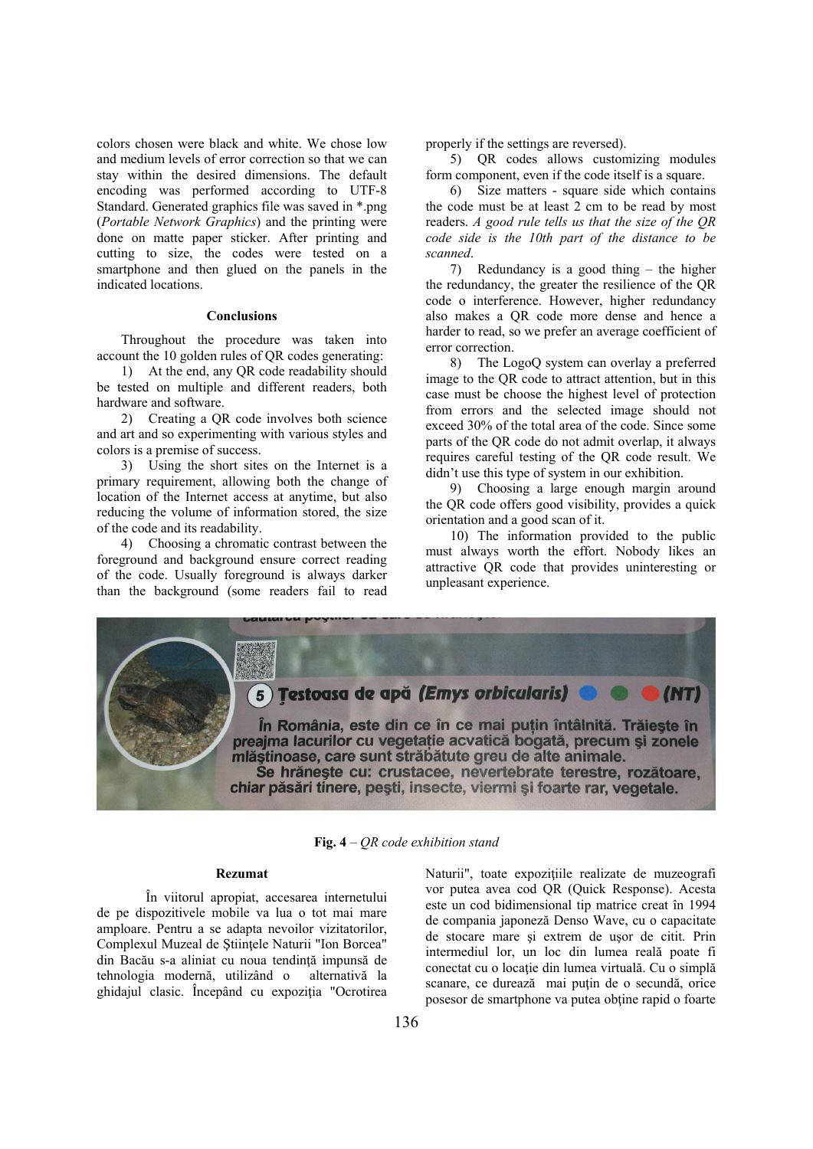colors chosen were black and white. We chose low and medium levels of error correction so that we can stay within the desired dimensions. The default encoding was performed according to UTF-8 Standard. Generated graphics file was saved in \*.png (*Portable Network Graphics*) and the printing were done on matte paper sticker. After printing and cutting to size, the codes were tested on a smartphone and then glued on the panels in the indicated locations.

### **Conclusions**

Throughout the procedure was taken into account the 10 golden rules of QR codes generating:

1) At the end, any QR code readability should be tested on multiple and different readers, both hardware and software.

2) Creating a QR code involves both science and art and so experimenting with various styles and colors is a premise of success.

3) Using the short sites on the Internet is a primary requirement, allowing both the change of location of the Internet access at anytime, but also reducing the volume of information stored, the size of the code and its readability.

4) Choosing a chromatic contrast between the foreground and background ensure correct reading of the code. Usually foreground is always darker than the background (some readers fail to read properly if the settings are reversed).

5) QR codes allows customizing modules form component, even if the code itself is a square.

6) Size matters - square side which contains the code must be at least 2 cm to be read by most readers. *A good rule tells us that the size of the QR code side is the 10th part of the distance to be scanned*.

7) Redundancy is a good thing – the higher the redundancy, the greater the resilience of the QR code o interference. However, higher redundancy also makes a QR code more dense and hence a harder to read, so we prefer an average coefficient of error correction.

8) The LogoQ system can overlay a preferred image to the QR code to attract attention, but in this case must be choose the highest level of protection from errors and the selected image should not exceed 30% of the total area of the code. Since some parts of the QR code do not admit overlap, it always requires careful testing of the QR code result. We didn't use this type of system in our exhibition.

9) Choosing a large enough margin around the QR code offers good visibility, provides a quick orientation and a good scan of it.

10) The information provided to the public must always worth the effort. Nobody likes an attractive QR code that provides uninteresting or unpleasant experience.



**Fig. 4** – *QR code exhibition stand*

### **Rezumat**

În viitorul apropiat, accesarea internetului de pe dispozitivele mobile va lua o tot mai mare amploare. Pentru a se adapta nevoilor vizitatorilor, Complexul Muzeal de Ştiinţele Naturii "Ion Borcea" din Bacău s-a aliniat cu noua tendinţă impunsă de tehnologia modernă, utilizând o alternativă la ghidajul clasic. Începând cu expoziţia "Ocrotirea Naturii", toate expozițiile realizate de muzeografi vor putea avea cod QR (Quick Response). Acesta este un cod bidimensional tip matrice creat în 1994 de compania japoneză Denso Wave, cu o capacitate de stocare mare şi extrem de uşor de citit. Prin intermediul lor, un loc din lumea reală poate fi conectat cu o locaţie din lumea virtuală. Cu o simplă scanare, ce durează mai puțin de o secundă, orice posesor de smartphone va putea obtine rapid o foarte